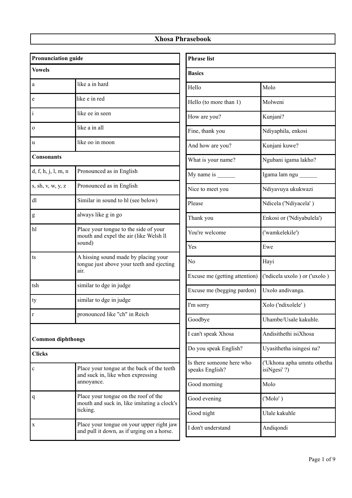| <b>Pronunciation guide</b> |                                                                                                 |  |
|----------------------------|-------------------------------------------------------------------------------------------------|--|
| <b>Vowels</b>              |                                                                                                 |  |
| a                          | like a in hard                                                                                  |  |
| e                          | like e in red                                                                                   |  |
| $\mathbf{i}$               | like ee in seen                                                                                 |  |
| $\Omega$                   | like a in all                                                                                   |  |
| u                          | like oo in moon                                                                                 |  |
| <b>Consonants</b>          |                                                                                                 |  |
| d, f, h, j, l, m, n        | Pronounced as in English                                                                        |  |
| s, sh, v, w, y, z          | Pronounced as in English                                                                        |  |
| dl                         | Similar in sound to hl (see below)                                                              |  |
| g                          | always like g in go                                                                             |  |
| hl                         | Place your tongue to the side of your<br>mouth and expel the air (like Welsh II<br>sound)       |  |
| ts                         | A hissing sound made by placing your<br>tongue just above your teeth and ejecting<br>air.       |  |
| tsh                        | similar to dge in judge                                                                         |  |
| ty                         | similar to dge in judge                                                                         |  |
| r                          | pronounced like "ch" in Reich                                                                   |  |
| <b>Common diphthongs</b>   |                                                                                                 |  |
| <b>Clicks</b>              |                                                                                                 |  |
| $\mathbf c$                | Place your tongue at the back of the teeth<br>and suck in, like when expressing<br>annoyance.   |  |
| q                          | Place your tongue on the roof of the<br>mouth and suck in, like imitating a clock's<br>ticking. |  |
| X                          | Place your tongue on your upper right jaw<br>and pull it down, as if urging on a horse.         |  |

| <b>Phrase list</b>                           |                                             |
|----------------------------------------------|---------------------------------------------|
| <b>Basics</b>                                |                                             |
| Hello                                        | Molo                                        |
| Hello (to more than 1)                       | Molweni                                     |
| How are you?                                 | Kunjani?                                    |
| Fine, thank you                              | Ndiyaphila, enkosi                          |
| And how are you?                             | Kunjani kuwe?                               |
| What is your name?                           | Ngubani igama lakho?                        |
| My name is $\frac{1}{2}$                     | Igama lam ngu                               |
| Nice to meet you                             | Ndiyavuya ukukwazi                          |
| Please                                       | Ndicela ('Ndiyacela')                       |
| Thank you                                    | Enkosi or ('Ndiyabulela')                   |
| You're welcome                               | ('wamkelekile')                             |
| Yes                                          | Ewe                                         |
| N <sub>0</sub>                               | Hayi                                        |
| Excuse me (getting attention)                | ('ndicela uxolo ) or ('uxolo )              |
| Excuse me (begging pardon)                   | Uxolo andivanga.                            |
| I'm sorry                                    | Xolo ('ndixolele')                          |
| Goodbye                                      | Uhambe/Usale kakuhle.                       |
| I can't speak Xhosa                          | Andisithethi isiXhosa                       |
| Do you speak English?                        | Uyasithetha isingesi na?                    |
| Is there someone here who<br>speaks English? | ('Ukhona apha umntu othetha<br>isiNgesi' ?) |
| Good morning                                 | Molo                                        |
| Good evening                                 | ('Molo')                                    |
| Good night                                   | Ulale kakuhle                               |
| I don't understand                           | Andiqondi                                   |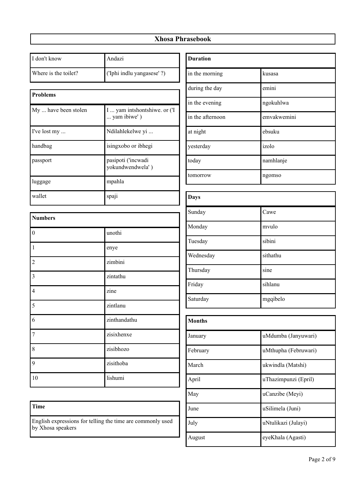| I don't know         | Andazi                                      |  |
|----------------------|---------------------------------------------|--|
| Where is the toilet? | ('Iphi indlu yangasese' ?)                  |  |
|                      |                                             |  |
| <b>Problems</b>      |                                             |  |
| My  have been stolen | I  yam intshontshiwe. or ('I<br>yam ibiwe') |  |
| I've lost my         | Ndilahlekelwe yi                            |  |
| handbag              | isingxobo or ibhegi                         |  |
| passport             | pasipoti ('incwadi<br>yokundwendwela')      |  |
| luggage              | mpahla                                      |  |
| wallet               | spaji                                       |  |
| <b>Numbers</b>       |                                             |  |
| $\boldsymbol{0}$     | unothi                                      |  |
| 1                    | enye                                        |  |
| $\overline{2}$       | zimbini                                     |  |
| 3                    | zintathu                                    |  |
| $\overline{4}$       | zine                                        |  |
| 5                    | zintlanu                                    |  |
| 6                    | zinthandathu                                |  |
| 7                    | zisixhenxe                                  |  |
| 8                    | zisibhozo                                   |  |
| 9                    | zisithoba                                   |  |
| 10                   | lishumi                                     |  |

| <b>Duration</b>  |             |  |
|------------------|-------------|--|
| in the morning   | kusasa      |  |
| during the day   | emini       |  |
| in the evening   | ngokuhlwa   |  |
| in the afternoon | emvakwemini |  |
| at night         | ebsuku      |  |
| yesterday        | izolo       |  |
| today            | namhlanje   |  |
| tomorrow         | ngomso      |  |
|                  |             |  |
| <b>Days</b>      |             |  |
| Sunday           | Cawe        |  |
| Monday           | mvulo       |  |
| Tuesday          | sibini      |  |

| Saturday      | mgqibelo             |
|---------------|----------------------|
| <b>Months</b> |                      |
| January       | uMdumba (Janyuwari)  |
| February      | uMthupha (Februwari) |
| March         | ukwindla (Matshi)    |
| April         | uThazimpunzi (Epril) |
| May           | uCanzibe (Meyi)      |
| June          | uSilimela (Juni)     |
| July          | uNtulikazi (Julayi)  |
| August        | eyeKhala (Agasti)    |

Wednesday sithathu

Friday sihlanu

Thursday sine

#### **Time**

English expressions for telling the time are commonly used by Xhosa speakers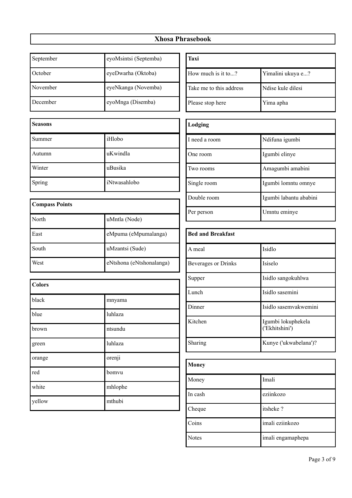| September | eyoMsintsi (Septemba) |
|-----------|-----------------------|
| October   | eyeDwarha (Oktoba)    |
| November  | eyeNkanga (Novemba)   |
| December  | eyoMnga (Disemba)     |

| <b>Seasons</b> |              |
|----------------|--------------|
| Summer         | iHlobo       |
| Autumn         | uKwindla     |
| Winter         | uBusika      |
| Spring         | iNtwasahlobo |

| <b>Compass Points</b> |                          |
|-----------------------|--------------------------|
| North                 | uMntla (Node)            |
| East                  | eMpuma (eMpumalanga)     |
| South                 | uMzantsi (Sude)          |
| West                  | eNtshona (eNtshonalanga) |

| <b>Colors</b> |         |
|---------------|---------|
| black         | mnyama  |
| blue          | luhlaza |
| brown         | ntsundu |
| green         | luhlaza |
| orange        | orenji  |
| red           | bomvu   |
| white         | mhlophe |
| yellow        | mthubi  |

| Taxi                    |                   |
|-------------------------|-------------------|
| How much is it to?      | Yimalini ukuya e? |
| Take me to this address | Ndise kule dilesi |
| Please stop here        | Yima apha         |

| Lodging       |                        |
|---------------|------------------------|
| I need a room | Ndifuna igumbi         |
| One room      | Igumbi elinye          |
| Two rooms     | Amagumbi amabini       |
| Single room   | Igumbi lomntu omnye    |
| Double room   | Igumbi labantu ababini |
| Per person    | Umntu eminye           |

| <b>Bed and Breakfast</b> |                                      |
|--------------------------|--------------------------------------|
| A meal                   | Isidlo                               |
| Beverages or Drinks      | Isiselo                              |
| Supper                   | Isidlo sangokuhlwa                   |
| Lunch                    | Isidlo sasemini                      |
| Dinner                   | Isidlo sasemvakwemini                |
| Kitchen                  | Igumbi lokuphekela<br>('Ekhitshini') |
| Sharing                  | Kunye ('ukwabelana')?                |

| <b>Money</b> |                   |
|--------------|-------------------|
| Money        | Imali             |
| In cash      | eziinkozo         |
| Cheque       | itsheke?          |
| Coins        | imali eziinkozo   |
| <b>Notes</b> | imali engamaphepa |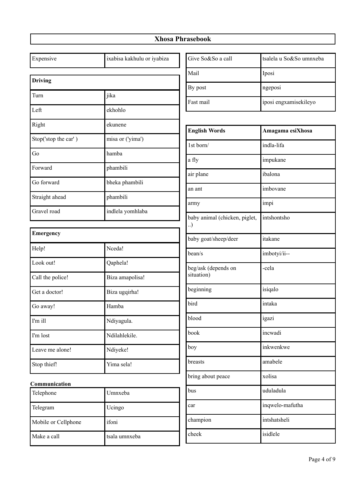| Expensive                  | ixabisa kakhulu or iyabiza | Give So&So a call                  | tsalela u So&So umnxeba |
|----------------------------|----------------------------|------------------------------------|-------------------------|
| <b>Driving</b>             |                            | Mail                               | Iposi                   |
|                            |                            | By post                            | ngeposi                 |
| Turn                       | jika                       | Fast mail                          | iposi engxamisekileyo   |
| Left                       | ekhohlo                    |                                    |                         |
| Right                      | ekunene                    | <b>English Words</b>               | Amagama esiXhosa        |
| Stop('stop the car')       | misa or ('yima')           | 1st born/                          | indla-lifa              |
| Go                         | hamba                      | a fly                              | impukane                |
| Forward                    | phambili                   | air plane                          | ibalona                 |
| Go forward                 | bheka phambili             | an ant                             | imbovane                |
| Straight ahead             | phambili                   |                                    |                         |
| Gravel road                | indlela yomhlaba           | army                               | impi                    |
|                            |                            | baby animal (chicken, piglet,<br>) | intshontsho             |
| <b>Emergency</b>           |                            | baby goat/sheep/deer               | itakane                 |
| Help!                      | Nceda!                     | bean/s                             | imbotyi/ii--            |
| Look out!                  | Qaphela!                   | beg/ask (depends on                | -cela                   |
| Call the police!           | Biza amapolisa!            | situation)                         |                         |
| Get a doctor!              | Biza ugqirha!              | beginning                          | isiqalo                 |
| Go away!                   | Hamba                      | bird                               | intaka                  |
| I'm ill                    | Ndiyagula.                 | blood                              | igazi                   |
| I'm lost                   | Ndilahlekile.              | book                               | incwadi                 |
| Leave me alone!            | Ndiyeke!                   | boy                                | inkwenkwe               |
| Stop thief!                | Yima sela!                 | breasts                            | amabele                 |
|                            |                            | bring about peace                  | xolisa                  |
| Communication<br>Telephone | Umnxeba                    | bus                                | uduladula               |
| Telegram                   | Ucingo                     | car                                | inqwelo-mafutha         |
| Mobile or Cellphone        | ifoni                      | champion                           | intshatsheli            |
| Make a call                | tsala umnxeba              | cheek                              | isidlele                |
|                            |                            |                                    |                         |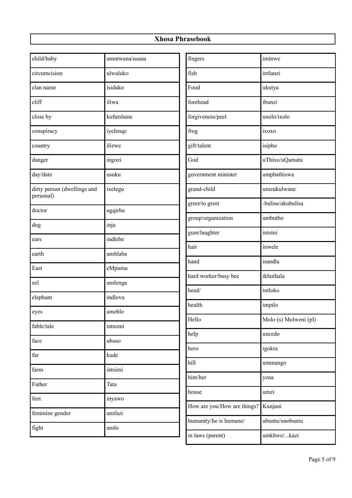| child/baby                               | umntwana/usana | fingers                     | iminwe                |
|------------------------------------------|----------------|-----------------------------|-----------------------|
| circumcision                             | ulwaluko       | fish                        | intlanzi              |
| clan name                                | isiduko        | Food                        | ukutya                |
| cliff                                    | iliwa          | forehead                    | ibunzi                |
| close by                                 | kufutshane     | forgiveness/peel            | uxolo/ixolo           |
| conspiracy                               | iyelenqe       | frog                        | ixoxo                 |
| country                                  | ilizwe         | gift/talent                 | isipho                |
| danger                                   | ingozi         | God                         | uThixo/uQamata        |
| day/date                                 | usuku          | government minister         | umphathiswa           |
| dirty person (dwellings and<br>personal) | ixelegu        | grand-child                 | umzukulwane           |
| doctor                                   | ugqirha        | greet/to greet              | -bulisa/ukubulisa     |
|                                          |                | group/organization          | umbutho               |
| dog                                      | inja           | gum/laughter                | intsini               |
| ears                                     | indlebe        | hair                        | inwele                |
| earth                                    | umhlaba        | hand                        | isandla               |
| East                                     | eMpuma         | hard worker/busy bee        | ikhuthala             |
| eel                                      | umlenga        | head/                       | intloko               |
| elephant                                 | indlovu        |                             |                       |
| eyes                                     | amehlo         | health                      | impilo                |
| fable/tale                               | intsomi        | Hello                       | Molo (s) Molweni (pl) |
| face                                     | ubuso          | help                        | uncedo                |
| $\operatorname{far}$                     | kude           | hero                        | igokra                |
|                                          |                | hill                        | ummango               |
| farm                                     | intsimi        | him/her                     | yena                  |
| Father                                   | Tata           | house                       | umzi                  |
| feet                                     | inyawo         | How are you/How are things? | Kunjani               |
| feminine gender                          | umfazi         | humanity/he is humane/      | ubuntu/unobuntu       |
| fight                                    | umlo           |                             |                       |
|                                          |                | in laws (parent)            | umkhwe/kazi           |

I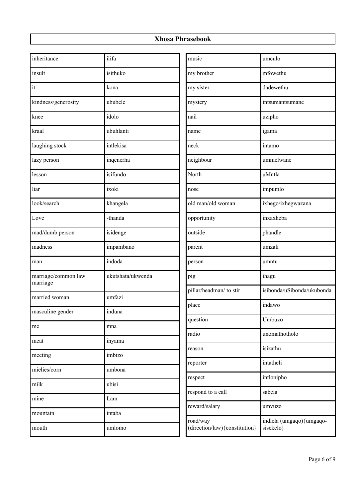| inheritance                     | ilifa             | music                                      | umculo                                 |
|---------------------------------|-------------------|--------------------------------------------|----------------------------------------|
| insult                          | isithuko          | my brother                                 | mfowethu                               |
| it                              | kona              | my sister                                  | dadewethu                              |
| kindness/generosity             | ububele           | mystery                                    | intsumantsumane                        |
| knee                            | idolo             | nail                                       | uzipho                                 |
| kraal                           | ubuhlanti         | name                                       | igama                                  |
| laughing stock                  | intlekisa         | neck                                       | intamo                                 |
| lazy person                     | inqenerha         | neighbour                                  | ummelwane                              |
| lesson                          | isifundo          | North                                      | uMntla                                 |
| liar                            | ixoki             | nose                                       | impumlo                                |
| look/search                     | khangela          | old man/old woman                          | ixhego/ixhegwazana                     |
| Love                            | -thanda           | opportunity                                | inxaxheba                              |
| mad/dumb person                 | isidenge          | outside                                    | phandle                                |
| madness                         | impambano         | parent                                     | umzali                                 |
| man                             | indoda            | person                                     | umntu                                  |
| marriage/common law<br>marriage | ukutshata/ukwenda | pig                                        | ihagu                                  |
| married woman                   | umfazi            | pillar/headman/ to stir                    | isibonda/uSibonda/ukubonda             |
| masculine gender                | induna            | place                                      | indawo                                 |
| me                              | mna               | question                                   | Umbuzo                                 |
|                                 |                   | radio                                      | unomathotholo                          |
| meat                            | inyama            | reason                                     | isizathu                               |
| meeting                         | imbizo            | reporter                                   | intatheli                              |
| mielies/corn                    | umbona            | respect                                    | intlonipho                             |
| milk                            | ubisi             | respond to a call                          | sabela                                 |
| mine                            | Lam               |                                            |                                        |
| mountain                        | intaba            | reward/salary                              | umvuzo                                 |
| mouth                           | umlomo            | road/way<br>(direction/law) {constitution} | indlela (umgaqo) {umgaqo-<br>sisekelo} |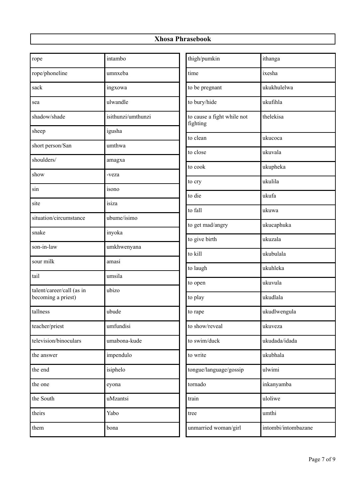| thigh/pumkin<br>ithanga<br>intambo<br>rope<br>rope/phoneline<br>time<br>ixesha<br>umnxeba<br>sack<br>to be pregnant<br>ukukhulelwa<br>ingxowa<br>ulwandle<br>to bury/hide<br>ukufihla<br>sea<br>isithunzi/umthunzi<br>to cause a fight while not<br>thelekisa<br>shadow/shade<br>fighting<br>sheep<br>igusha<br>to clean<br>ukucoca<br>short person/San<br>umthwa<br>ukuvala<br>to close<br>shoulders/<br>amagxa<br>ukupheka<br>to cook<br>show<br>-veza<br>ukulila<br>to cry<br>sin<br>isono<br>to die<br>ukufa<br>isiza<br>site<br>to fall<br>ukuwa<br>situation/circumstance<br>ubume/isimo<br>ukucaphuka<br>to get mad/angry<br>snake<br>inyoka<br>to give birth<br>ukuzala<br>son-in-law<br>umkhwenyana<br>to kill<br>ukubulala<br>sour milk<br>amasi<br>ukuhleka<br>to laugh<br>tail<br>umsila<br>ukuvula<br>to open<br>talent/career/call (as in<br>ubizo<br>becoming a priest)<br>ukudlala<br>to play<br>tallness<br>ubude<br>ukudlwengula<br>to rape<br>to show/reveal<br>teacher/priest<br>umfundisi<br>ukuveza<br>television/binoculars<br>umabona-kude<br>to swim/duck<br>ukudada/idada<br>impendulo<br>to write<br>ukubhala<br>the answer<br>isiphelo<br>tongue/language/gossip<br>ulwimi<br>the end<br>inkanyamba<br>tornado<br>the one<br>eyona<br>uloliwe<br>the South<br>uMzantsi<br>train<br>theirs<br>Yabo<br>umthi<br>tree |      |      |                      |                     |
|------------------------------------------------------------------------------------------------------------------------------------------------------------------------------------------------------------------------------------------------------------------------------------------------------------------------------------------------------------------------------------------------------------------------------------------------------------------------------------------------------------------------------------------------------------------------------------------------------------------------------------------------------------------------------------------------------------------------------------------------------------------------------------------------------------------------------------------------------------------------------------------------------------------------------------------------------------------------------------------------------------------------------------------------------------------------------------------------------------------------------------------------------------------------------------------------------------------------------------------------------------------------------------------------------------------------------------------------|------|------|----------------------|---------------------|
|                                                                                                                                                                                                                                                                                                                                                                                                                                                                                                                                                                                                                                                                                                                                                                                                                                                                                                                                                                                                                                                                                                                                                                                                                                                                                                                                                |      |      |                      |                     |
|                                                                                                                                                                                                                                                                                                                                                                                                                                                                                                                                                                                                                                                                                                                                                                                                                                                                                                                                                                                                                                                                                                                                                                                                                                                                                                                                                |      |      |                      |                     |
|                                                                                                                                                                                                                                                                                                                                                                                                                                                                                                                                                                                                                                                                                                                                                                                                                                                                                                                                                                                                                                                                                                                                                                                                                                                                                                                                                |      |      |                      |                     |
|                                                                                                                                                                                                                                                                                                                                                                                                                                                                                                                                                                                                                                                                                                                                                                                                                                                                                                                                                                                                                                                                                                                                                                                                                                                                                                                                                |      |      |                      |                     |
|                                                                                                                                                                                                                                                                                                                                                                                                                                                                                                                                                                                                                                                                                                                                                                                                                                                                                                                                                                                                                                                                                                                                                                                                                                                                                                                                                |      |      |                      |                     |
|                                                                                                                                                                                                                                                                                                                                                                                                                                                                                                                                                                                                                                                                                                                                                                                                                                                                                                                                                                                                                                                                                                                                                                                                                                                                                                                                                |      |      |                      |                     |
|                                                                                                                                                                                                                                                                                                                                                                                                                                                                                                                                                                                                                                                                                                                                                                                                                                                                                                                                                                                                                                                                                                                                                                                                                                                                                                                                                |      |      |                      |                     |
|                                                                                                                                                                                                                                                                                                                                                                                                                                                                                                                                                                                                                                                                                                                                                                                                                                                                                                                                                                                                                                                                                                                                                                                                                                                                                                                                                |      |      |                      |                     |
|                                                                                                                                                                                                                                                                                                                                                                                                                                                                                                                                                                                                                                                                                                                                                                                                                                                                                                                                                                                                                                                                                                                                                                                                                                                                                                                                                |      |      |                      |                     |
|                                                                                                                                                                                                                                                                                                                                                                                                                                                                                                                                                                                                                                                                                                                                                                                                                                                                                                                                                                                                                                                                                                                                                                                                                                                                                                                                                |      |      |                      |                     |
|                                                                                                                                                                                                                                                                                                                                                                                                                                                                                                                                                                                                                                                                                                                                                                                                                                                                                                                                                                                                                                                                                                                                                                                                                                                                                                                                                |      |      |                      |                     |
|                                                                                                                                                                                                                                                                                                                                                                                                                                                                                                                                                                                                                                                                                                                                                                                                                                                                                                                                                                                                                                                                                                                                                                                                                                                                                                                                                |      |      |                      |                     |
|                                                                                                                                                                                                                                                                                                                                                                                                                                                                                                                                                                                                                                                                                                                                                                                                                                                                                                                                                                                                                                                                                                                                                                                                                                                                                                                                                |      |      |                      |                     |
|                                                                                                                                                                                                                                                                                                                                                                                                                                                                                                                                                                                                                                                                                                                                                                                                                                                                                                                                                                                                                                                                                                                                                                                                                                                                                                                                                |      |      |                      |                     |
|                                                                                                                                                                                                                                                                                                                                                                                                                                                                                                                                                                                                                                                                                                                                                                                                                                                                                                                                                                                                                                                                                                                                                                                                                                                                                                                                                |      |      |                      |                     |
|                                                                                                                                                                                                                                                                                                                                                                                                                                                                                                                                                                                                                                                                                                                                                                                                                                                                                                                                                                                                                                                                                                                                                                                                                                                                                                                                                |      |      |                      |                     |
|                                                                                                                                                                                                                                                                                                                                                                                                                                                                                                                                                                                                                                                                                                                                                                                                                                                                                                                                                                                                                                                                                                                                                                                                                                                                                                                                                |      |      |                      |                     |
|                                                                                                                                                                                                                                                                                                                                                                                                                                                                                                                                                                                                                                                                                                                                                                                                                                                                                                                                                                                                                                                                                                                                                                                                                                                                                                                                                |      |      |                      |                     |
|                                                                                                                                                                                                                                                                                                                                                                                                                                                                                                                                                                                                                                                                                                                                                                                                                                                                                                                                                                                                                                                                                                                                                                                                                                                                                                                                                |      |      |                      |                     |
|                                                                                                                                                                                                                                                                                                                                                                                                                                                                                                                                                                                                                                                                                                                                                                                                                                                                                                                                                                                                                                                                                                                                                                                                                                                                                                                                                |      |      |                      |                     |
|                                                                                                                                                                                                                                                                                                                                                                                                                                                                                                                                                                                                                                                                                                                                                                                                                                                                                                                                                                                                                                                                                                                                                                                                                                                                                                                                                |      |      |                      |                     |
|                                                                                                                                                                                                                                                                                                                                                                                                                                                                                                                                                                                                                                                                                                                                                                                                                                                                                                                                                                                                                                                                                                                                                                                                                                                                                                                                                |      |      |                      |                     |
|                                                                                                                                                                                                                                                                                                                                                                                                                                                                                                                                                                                                                                                                                                                                                                                                                                                                                                                                                                                                                                                                                                                                                                                                                                                                                                                                                |      |      |                      |                     |
|                                                                                                                                                                                                                                                                                                                                                                                                                                                                                                                                                                                                                                                                                                                                                                                                                                                                                                                                                                                                                                                                                                                                                                                                                                                                                                                                                |      |      |                      |                     |
|                                                                                                                                                                                                                                                                                                                                                                                                                                                                                                                                                                                                                                                                                                                                                                                                                                                                                                                                                                                                                                                                                                                                                                                                                                                                                                                                                |      |      |                      |                     |
|                                                                                                                                                                                                                                                                                                                                                                                                                                                                                                                                                                                                                                                                                                                                                                                                                                                                                                                                                                                                                                                                                                                                                                                                                                                                                                                                                |      |      |                      |                     |
|                                                                                                                                                                                                                                                                                                                                                                                                                                                                                                                                                                                                                                                                                                                                                                                                                                                                                                                                                                                                                                                                                                                                                                                                                                                                                                                                                |      |      |                      |                     |
|                                                                                                                                                                                                                                                                                                                                                                                                                                                                                                                                                                                                                                                                                                                                                                                                                                                                                                                                                                                                                                                                                                                                                                                                                                                                                                                                                | them | bona | unmarried woman/girl | intombi/intombazane |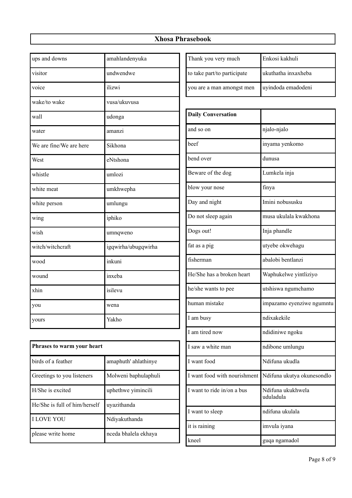| ups and downs           | amahlandenyuka      |
|-------------------------|---------------------|
| visitor                 | undwendwe           |
| voice                   | ilizwi              |
| wake/to wake            | vusa/ukuvusa        |
| wall                    | udonga              |
| water                   | amanzi              |
| We are fine/We are here | Sikhona             |
| West                    | eNtshona            |
| whistle                 | umlozi              |
| white meat              | umkhwepha           |
| white person            | umlungu             |
| wing                    | iphiko              |
| wish                    | umnqweno            |
| witch/witchcraft        | igqwirha/ubugqwirha |
| wood                    | inkuni              |
| wound                   | inxeba              |
| xhin                    | isilevu             |
| you                     | wena                |
| yours                   | Yakho               |

| Phrases to warm your heart    |                      |  |
|-------------------------------|----------------------|--|
| birds of a feather            | amaphuth' ahlathinye |  |
| Greetings to you listeners    | Molweni baphulaphuli |  |
| H/She is excited              | uphethwe yimincili   |  |
| He/She is full of him/herself | uyazithanda          |  |
| <b>I LOVE YOU</b>             | Ndiyakuthanda        |  |
| please write home             | nceda bhalela ekhaya |  |

| Thank you very much         | Enkosi kakhuli      |
|-----------------------------|---------------------|
| to take part/to participate | ukuthatha inxaxheba |
| you are a man amongst men   | uyindoda emadodeni  |

| <b>Daily Conversation</b>    |                                |
|------------------------------|--------------------------------|
| and so on                    | njalo-njalo                    |
| beef                         | inyama yenkomo                 |
| bend over                    | dunusa                         |
| Beware of the dog            | Lumkela inja                   |
| blow your nose               | finya                          |
| Day and night                | Imini nobususku                |
| Do not sleep again           | musa ukulala kwakhona          |
| Dogs out!                    | Inja phandle                   |
| fat as a pig                 | utyebe okwehagu                |
| fisherman                    | abalobi bentlanzi              |
| He/She has a broken heart    | Waphukelwe yintliziyo          |
| he/she wants to pee          | utshiswa ngumchamo             |
| human mistake                | impazamo eyenziwe ngumntu      |
| I am busy                    | ndixakekile                    |
| I am tired now               | ndidiniwe ngoku                |
| I saw a white man            | ndibone umlungu                |
| I want food                  | Ndifuna ukudla                 |
| I want food with nourishment | Ndifuna ukutya okunesondlo     |
| I want to ride in/on a bus   | Ndifuna ukukhwela<br>uduladula |
| I want to sleep              | ndifuna ukulala                |
| it is raining                | imvula iyana                   |
| kneel                        | guqa ngamadol                  |